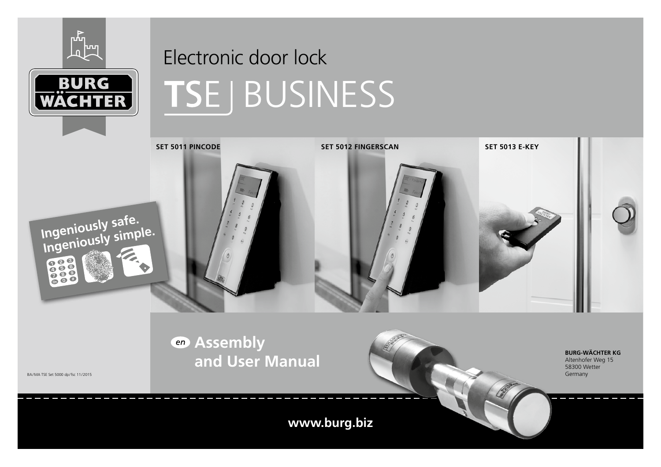



# Electronic door lock BUSINESS



**www.burg.biz**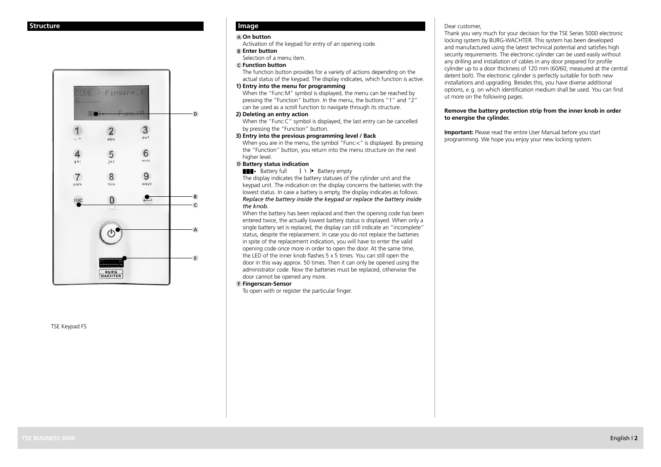## **Structure**



TSE Keypad FS

# **Image**

## **On button**

Activation of the keypad for entry of an opening code.

#### **Enter button**

Selection of a menu item.

## **Function button**

 The function button provides for a variety of actions depending on the actual status of the keypad. The display indicates, which function is active.

## **1) Entry into the menu for programming**

When the "Func:M" symbol is displayed, the menu can be reached by pressing the "Function" button. In the menu, the buttons "1" and "2" can be used as a scroll function to navigate through its structure.

## **2) Deleting an entry action**

When the "Func:C" symbol is displayed, the last entry can be cancelled by pressing the "Function" button.

# **3) Entry into the previous programming level / Back**

When you are in the menu, the symbol "Func:<" is displayed. By pressing the "Function" button, you return into the menu structure on the next higher level.

## **D** Battery status indication

 $\Box$  Battery full  $\Box$  Battery empty

The display indicates the battery statuses of the cylinder unit and the keypad unit. The indication on the display concerns the batteries with the lowest status. In case a battery is empty, the display indicates as follows: *Replace the battery inside the keypad or replace the battery inside the knob.* 

When the battery has been replaced and then the opening code has been entered twice, the actually lowest battery status is displayed. When only a single battery set is replaced, the display can still indicate an "incomplete" status, despite the replacement. In case you do not replace the batteries in spite of the replacement indication, you will have to enter the valid opening code once more in order to open the door. At the same time, the LED of the inner knob flashes 5 x 5 times. You can still open the door in this way approx. 50 times. Then it can only be opened using the administrator code. Now the batteries must be replaced, otherwise the door cannot be opened any more.

## **Fingerscan-Sensor**

To open with or register the particular finger.

## Dear customer,

Thank you very much for your decision for the TSE Series 5000 electronic locking system by BURG-WACHTER. This system has been developed and manufactured using the latest technical potential and satisfies high security requirements. The electronic cylinder can be used easily without any drilling and installation of cables in any door prepared for profile cylinder up to a door thickness of 120 mm (60/60, measured at the central detent bolt). The electronic cylinder is perfectly suitable for both new installations and upgrading. Besides this, you have diverse additional options, e.g. on which identification medium shall be used. You can find ut more on the following pages.

#### **Remove the battery protection strip from the inner knob in order to energise the cylinder.**

**Important:** Please read the entire User Manual before you start programming. We hope you enjoy your new locking system.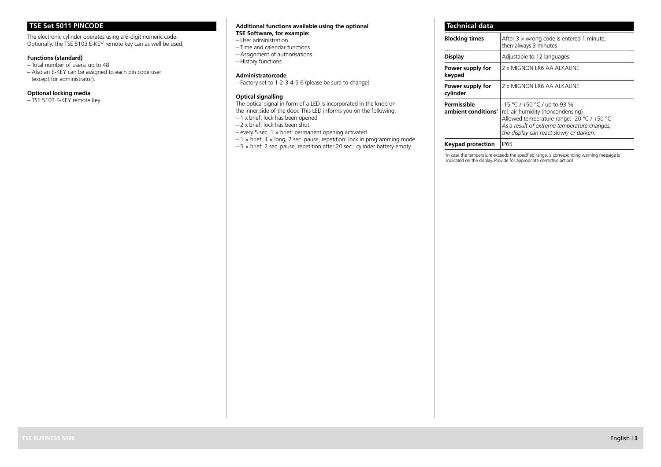# **TSE Set 5011 PINCODE**

The electronic cylinder operates using a 6-digit numeric code. Optionally, the TSE 5103 E-KEY remote key can as well be used.

## **Functions (standard)**

– Total number of users: up to 48 – Also an E-KEY can be assigned to each pin code user (except for administrator).

## **Optional locking media**

– TSE 5103 E-KEY remote key

#### **Additional functions available using the optional TSE Software, for example:**

- User administration
- Time and calendar functions
- Assignment of authorisations
- History functions

## **Administratorcode**

– Factory set to 1-2-3-4-5-6 (please be sure to change)

## **Optical signalling**

The optical signal in form of a LED is incorporated in the knob on the inner side of the door. This LED informs you on the following:

- 1 x brief: lock has been opened
- 2 x brief: lock has been shut
- $-$  every 5 sec. 1  $\times$  brief: permanent opening activated
- $-1 \times \text{brief}$ , 1  $\times$  long, 2 sec. pause, repetition: lock in programming mode
- $-5 \times$  brief, 2 sec. pause, repetition after 20 sec.: cylinder battery empty

#### **Technical data Blocking times** After 3 x wrong code is entered 1 minute, then always 3 minutes **Display Adjustable to 12 languages Power supply for keypad** 2 x MIGNON LR6 AA ALKALINE **Power supply for cylinder** 2 x MIGNON LR6 AA ALKALINE **Permissible ambient conditions\*** -15 °C / +50 °C / up to 93 % rel. air humidity (noncondensing) Allowed temperature range: -20 °C / +50 °C *As a result of extreme temperature changes, the display can react slowly or darken.* **Keypad protection** | IP65

\* In case the temperature exceeds the specified range, a corresponding warning message is indicated on the display. Provide for appropriate corrective action!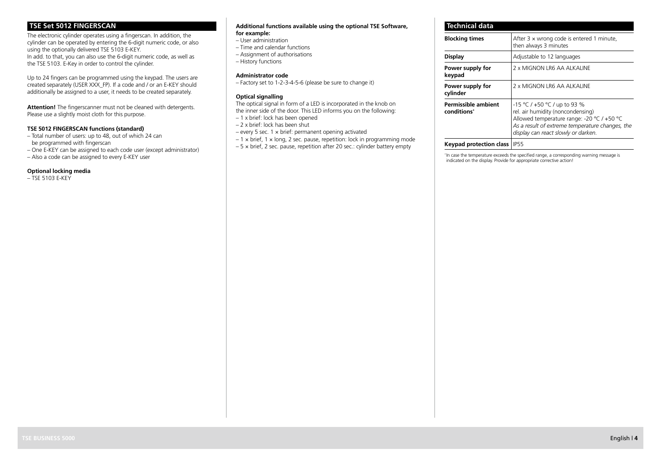# **TSE Set 5012 FINGERSCAN**

The electronic cylinder operates using a fingerscan. In addition, the cylinder can be operated by entering the 6-digit numeric code, or also using the optionally delivered TSE 5103 E-KEY. In add. to that, you can also use the 6-digit numeric code, as well as the TSE 5103. E-Key in order to control the cylinder.

Up to 24 fingers can be programmed using the keypad. The users are created separately (USER XXX\_FP). If a code and / or an E-KEY should additionally be assigned to a user, it needs to be created separately.

**Attention!** The fingerscanner must not be cleaned with detergents. Please use a slightly moist cloth for this purpose.

## **TSE 5012 FINGERSCAN functions (standard)**

- Total number of users: up to 48, out of which 24 can be programmed with fingerscan
- One E-KEY can be assigned to each code user (except administrator)
- Also a code can be assigned to every E-KEY user

#### **Optional locking media**

 $-$  TSF 5103 F-KFY

## **Additional functions available using the optional TSE Software, for example:**

- User administration
- Time and calendar functions
- Assignment of authorisations
- History functions

## **Administrator code**

– Factory set to 1-2-3-4-5-6 (please be sure to change it)

## **Optical signalling**

The optical signal in form of a LED is incorporated in the knob on the inner side of the door. This LED informs you on the following:

- 1 x brief: lock has been opened
- 2 x brief: lock has been shut
- every 5 sec. 1 × brief: permanent opening activated
- $-1 \times \text{brief}$ , 1  $\times$  long, 2 sec. pause, repetition: lock in programming mode  $-5 \times$  brief, 2 sec. pause, repetition after 20 sec.: cylinder battery empty

**Technical data**

| <b>Blocking times</b>                                 | After $3 \times$ wrong code is entered 1 minute,<br>then always 3 minutes                                                                                                                                 |  |
|-------------------------------------------------------|-----------------------------------------------------------------------------------------------------------------------------------------------------------------------------------------------------------|--|
| Display                                               | Adjustable to 12 languages                                                                                                                                                                                |  |
| Power supply for<br>keypad                            | 2 x MIGNON LR6 AA ALKALINE                                                                                                                                                                                |  |
| Power supply for<br>cylinder                          | 2 x MIGNON LR6 AA ALKALINE                                                                                                                                                                                |  |
| <b>Permissible ambient</b><br>conditions <sup>*</sup> | -15 °C / +50 °C / up to 93 %<br>rel. air humidity (noncondensing)<br>Allowed temperature range: -20 °C / +50 °C<br>As a result of extreme temperature changes, the<br>display can react slowly or darken. |  |
| .                                                     | $-$                                                                                                                                                                                                       |  |

## **Keypad protection class** | IP55

\* In case the temperature exceeds the specified range, a corresponding warning message is indicated on the display. Provide for appropriate corrective action!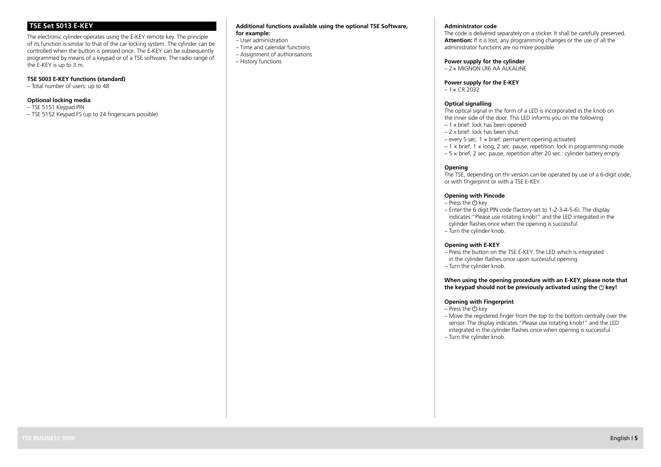# **TSE Set 5013 E-KEY**

The electronic cylinder operates using the E-KEY remote key. The principle of its function is similar to that of the car locking system. The cylinder can be controlled when the button is pressed once. The E-KEY can be subsequently programmed by means of a keypad or of a TSE software. The radio range of the E-KEY is up to 3 m.

## **TSE 5003 E-KEY functions (standard)**

– Total number of users: up to 48

## **Optional locking media**

– TSE 5151 Keypad PIN – TSE 5152 Keypad FS (up to 24 fingerscans possible)

#### **Additional functions available using the optional TSE Software, for example:**

- User administration
- Time and calendar functions
- Assignment of authorisations
- History functions

#### **Administrator code**

The code is delivered separately on a sticker. It shall be carefully preserved. **Attention:** If it is lost, any programming changes or the use of all the administrator functions are no more possible.

## **Power supply for the cylinder**

 $-2 \times$  MIGNON LR6 AA ALKALINE

#### **Power supply for the E-KEY**

 $-1 \times$  CR 2032

#### **Optical signalling**

The optical signal in the form of a LED is incorporated in the knob on the inner side of the door. This LED informs you on the following:

- 1 x brief: lock has been opened
- 2 x brief: lock has been shut
- every 5 sec. 1 × brief: permanent opening activated
- $-1 \times \text{brief}$ , 1  $\times$  long, 2 sec. pause, repetition: lock in programming mode
- 5 × brief, 2 sec. pause, repetition after 20 sec.: cylinder battery empty

## **Opening**

The TSE, depending on thr version can be operated by use of a 6-digit code, or with fingerprint or with a TSE E-KEY.

#### **Opening with Pincode**

- $-$  Press the  $(1)$  key
- Enter the 6 digit PIN code (factory-set to 1-2-3-4-5-6). The display indicates "Please use rotating knob!" and the LED integrated in the cylinder flashes once when the opening is successful.
- Turn the cylinder knob.

#### **Opening with E-KEY**

- Press the button on the TSE E-KEY. The LED which is integrated in the cylinder flashes once upon successful opening.
- Turn the cylinder knob.

## **When using the opening procedure with an E-KEY, please note that**  the keypad should not be previously activated using the  $\bigcirc$  key!

## **Opening with Fingerprint**

- Press the  $()$  key
- Move the registered finger from the top to the bottom centrally over the sensor. The display indicates "Please use rotating knob!" and the LED integrated in the cylinder flashes once when opening is successful.
- Turn the cylinder knob.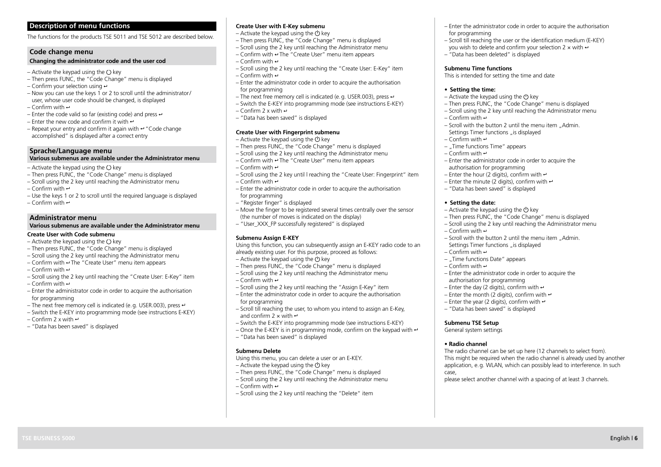## The functions for the products TSE 5011 and TSE 5012 are described below.

## **Code change menu**

## **Changing the administrator code and the user cod**

- Activate the keypad using the  $\langle \cdot \rangle$  key
- $-$  Then press FUNC, the "Code Change" menu is displayed
- $-$  Confirm your selection using  $\leftrightarrow$
- Now you can use the keys 1 or 2 to scroll until the administrator/ user, whose user code should be changed, is displayed – Confirm with  $\leftrightarrow$
- 
- Enter the code valid so far (existing code) and press  $\leftrightarrow$ – Enter the new code and confirm it with  $\leftrightarrow$
- 
- $-$  Repeat your entry and confirm it again with  $-$  "Code change accomplished" is displayed after a correct entry

## **Sprache/Language menu**

## **Various submenus are available under the Administrator menu**

- Activate the keypad using the  $\bigcirc$  key
- Then press FUNC, the "Code Change" menu is displayed
- Scroll using the 2 key until reaching the Administrator menu
- $-C$  on firm with  $\leftrightarrow$
- Use the keys 1 or 2 to scroll until the required language is displayed
- Confirm with  $\leftrightarrow$

## **Administrator menu**

## **Various submenus are available under the Administrator menu**

- **Create User with Code submenu**
- Activate the keypad using the  $\bigcirc$  key
- Then press FUNC, the "Code Change" menu is displayed
- Scroll using the 2 key until reaching the Administrator menu
- Confirm with  $\rightarrow$  The "Create User" menu item appears
- Confirm with  $\rightarrow$
- Scroll using the 2 key until reaching the "Create User: E-Key" item
- Confirm with  $\leftrightarrow$
- Enter the administrator code in order to acquire the authorisation for programming
- The next free memory cell is indicated (e.g. USER.003), press  $\leftrightarrow$
- Switch the E-KEY into programming mode (see instructions E-KEY)
- Confirm 2 x with  $\leftrightarrow$
- "Data has been saved" is displayed

## **Create User with E-Key submenu**

- Activate the keypad using the  $\ddot{\text{ }}$  key
- $-$  Then press FUNC, the "Code Change" menu is displayed
- Scroll using the 2 key until reaching the Administrator menu
- $-$  Confirm with  $-$  The "Create User" menu item appears
- $-C$  on firm with  $\leftrightarrow$
- Scroll using the 2 key until reaching the "Create User: E-Key" item  $\overline{\phantom{a}}$  Confirm with  $\overline{\phantom{a}}$
- Enter the administrator code in order to acquire the authorisation for programming
- $-$  The next free memory cell is indicated (e.g. USER 003), press  $\leftrightarrow$
- Switch the E-KEY into programming mode (see instructions E-KEY)
- $-C$  on firm  $2 \times$  with  $\leftrightarrow$
- "Data has been saved" is displayed

## **Create User with Fingerprint submenu**

- Activate the keypad using the  $\bigcirc$  key
- $-$  Then press FUNC, the "Code Change" menu is displayed
- Scroll using the 2 key until reaching the Administrator menu
- $-$  Confirm with  $-$  The "Create User" menu item appears
- $\overline{C}$  Confirm with  $\overline{C}$
- Scroll using the 2 key until l reaching the "Create User: Fingerprint" item
- Confirm with  $\rightarrow$
- Enter the administrator code in order to acquire the authorisation for programming
- "Register finger" is displayed
- Move the finger to be registered several times centrally over the sensor (the number of moves is indicated on the display)
- "User\_XXX\_FP successfully registered" is displayed

## **Submenu Assign E-KEY**

Using this function, you can subsequently assign an E-KEY radio code to an already existing user. For this purpose, proceed as follows:

- $-$  Activate the keypad using the  $\ddot{\text{C}}$  key
- Then press FUNC, the "Code Change" menu is displayed
- Scroll using the 2 key until reaching the Administrator menu
- Confirm with  $\leftrightarrow$
- Scroll using the 2 key until reaching the "Assign E-Key" item
- Enter the administrator code in order to acquire the authorisation for programming
- Scroll till reaching the user, to whom you intend to assign an E-Key, and confirm 2  $\times$  with  $\leftrightarrow$
- Switch the E-KEY into programming mode (see instructions E-KEY)
- Once the E-KEY is in programming mode, confirm on the keypad with  $\leftrightarrow$

**TSE BUSINESS 5000** English | **6** 

– "Data has been saved" is displayed

## **Submenu Delete**

- Using this menu, you can delete a user or an E-KEY.
- Activate the keypad using the  $\bigcirc$  key
- Then press FUNC, the "Code Change" menu is displayed
- Scroll using the 2 key until reaching the Administrator menu
- Confirm with  $\leftrightarrow$
- Scroll using the 2 key until reaching the "Delete" item
- Enter the administrator code in order to acquire the authorisation for programming
- Scroll till reaching the user or the identification medium (E-KEY) you wish to delete and confirm your selection 2  $\times$  with  $\cdot$
- "Data has been deleted" is displayed

#### **Submenu Time functions**

This is intended for setting the time and date

#### **• Setting the time:**

- Activate the keypad using the  $(1)$  key
- Then press FUNC, the "Code Change" menu is displayed
- Scroll using the 2 key until reaching the Administrator menu
- Confirm with  $\div$
- $-$  Scroll with the button 2 until the menu item "Admin. Settings Timer functions is displayed
- Confirm with  $\div$
- Time functions Time" appears
- Confirm with  $\rightarrow$
- Enter the administrator code in order to acquire the authorisation for programming
- Enter the hour (2 digits), confirm with  $\leftrightarrow$
- Enter the minute (2 digits), confirm with  $\leftrightarrow$
- "Data has been saved" is displayed

#### **• Setting the date:**

– Confirm with  $\leftrightarrow$ 

– Confirm with  $\rightarrow$ 

– Confirm with  $\rightarrow$ 

**Submenu TSE Setup**  General system settings **• Radio channel**

case,

– Activate the keypad using the  $\bigcirc$  key

Settings Timer functions "is displayed

– ..Time functions Date" appears

authorisation for programming – Enter the day (2 digits), confirm with  $\leftrightarrow$ – Enter the month (2 digits), confirm with  $\leftrightarrow$ – Enter the year (2 digits), confirm with  $\leftrightarrow$ – "Data has been saved" is displayed

– Then press FUNC, the "Code Change" menu is displayed

 $-$  Scroll with the button 2 until the menu item ... Admin.

– Enter the administrator code in order to acquire the

– Scroll using the 2 key until reaching the Administrator menu

The radio channel can be set up here (12 channels to select from). This might be required when the radio channel is already used by another application, e.g. WLAN, which can possibly lead to interference. In such

please select another channel with a spacing of at least 3 channels.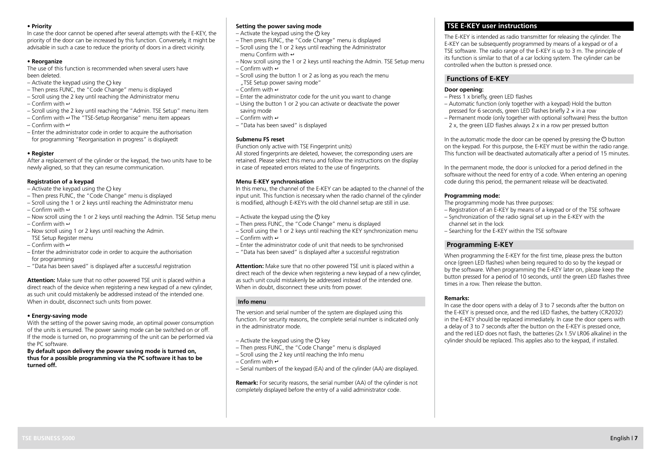#### **• Priority**

In case the door cannot be opened after several attempts with the E-KEY, the priority of the door can be increased by this function. Conversely, it might be advisable in such a case to reduce the priority of doors in a direct vicinity.

## **• Reorganize**

The use of this function is recommended when several users have been deleted.

- $-$  Activate the keypad using the  $(1)$  key
- $-$  Then press FUNC, the "Code Change" menu is displayed
- Scroll using the 2 key until reaching the Administrator menu
- $-C$  on firm with  $\leftrightarrow$
- Scroll using the 2 key until reaching the "Admin. TSE Setup" menu item
- $-$  Confirm with  $-$  The "TSE-Setup Reorganise" menu item appears
- $-C$  on firm with  $\leftrightarrow$
- Enter the administrator code in order to acquire the authorisation for programming "Reorganisation in progress" is displayedt

## **• Register**

After a replacement of the cylinder or the keypad, the two units have to be newly aligned, so that they can resume communication.

## **Registration of a keypad**

- $-$  Activate the keypad using the  $(1)$  key
- $-$  Then press FUNC, the "Code Change" menu is displayed
- $-$  Scroll using the 1 or 2 keys until reaching the Administrator menu-– Confirm with  $\leftrightarrow$
- Now scroll using the 1 or 2 keys until reaching the Admin. TSE Setup menu – Confirm with  $\div$
- Now scroll using 1 or 2 keys until reaching the Admin.
- TSE Setup Register menu – Confirm with  $\leftrightarrow$
- Enter the administrator code in order to acquire the authorisation for programming
- "Data has been saved" is displayed after a successful registration

**Attention:** Make sure that no other powered TSE unit is placed within a direct reach of the device when registering a new keypad of a new cylinder, as such unit could mistakenly be addressed instead of the intended one. When in doubt, disconnect such units from power.

## **• Energy-saving mode**

With the setting of the power saving mode, an optimal power consumption of the units is ensured. The power saving mode can be switched on or off. If the mode is turned on, no programming of the unit can be performed via the PC software.

**By default upon delivery the power saving mode is turned on, thus for a possible programming via the PC software it has to be turned off.**

## **Setting the power saving mode**

- Activate the keypad using the  $\ddot{\text{C}}$  key
- $-$  Then press FUNC, the "Code Change" menu is displayed
- Scroll using the 1 or 2 keys until reaching the Administrator menu Confirm with  $\leftarrow$
- Now scroll using the 1 or 2 keys until reaching the Admin. TSE Setup menu – Confirm with  $\div$
- Scroll using the button 1 or 2 as long as you reach the menu
- TSE Setup power saving mode"  $\overline{\phantom{a}}$  Confirm with  $\overline{\phantom{a}}$
- Enter the administrator code for the unit you want to change
- Using the button 1 or 2 you can activate or deactivate the power saving mode
- Confirm with  $\rightarrow$
- "Data has been saved" is displayed

## **Submenu FS reset**

(Function only active with TSE Fingerprint units) All stored fingerprints are deleted, however, the corresponding users are retained. Please select this menu and follow the instructions on the display

## **Menu E-KEY synchronisation**

In this menu, the channel of the E-KEY can be adapted to the channel of the input unit. This function is necessary when the radio channel of the cylinder is modified, although E-KEYs with the old channel setup are still in use.

- Activate the keypad using the  $\bigcirc$  key
- Then press FUNC, the "Code Change" menu is displayed

in case of repeated errors related to the use of fingerprints.

- Scroll using the 1 or 2 keys until reaching the KEY synchronization menu – Confirm with  $\rightarrow$
- Enter the administrator code of unit that needs to be synchronised
- "Data has been saved" is displayed after a successful registration

**Attention:** Make sure that no other powered TSE unit is placed within a direct reach of the device when registering a new keypad of a new cylinder, as such unit could mistakenly be addressed instead of the intended one. When in doubt, disconnect these units from power.

## **Info menu**

The version and serial number of the system are displayed using this function. For security reasons, the complete serial number is indicated only in the administrator mode.

- Activate the keypad using the  $\circ$  key
- Then press FUNC, the "Code Change" menu is displayed
- Scroll using the 2 key until reaching the Info menu
- Confirm with  $\rightarrow$
- Serial numbers of the keypad (EA) and of the cylinder (AA) are displayed.

**Remark:** For security reasons, the serial number (AA) of the cylinder is not completely displayed before the entry of a valid administrator code.

# **TSE E-KEY user instructions**

The E-KEY is intended as radio transmitter for releasing the cylinder. The E-KEY can be subsequently programmed by means of a keypad or of a TSE software. The radio range of the E-KEY is up to 3 m. The principle of its function is similar to that of a car locking system. The cylinder can be controlled when the button is pressed once.

## **Functions of E-KEY**

## **Door opening:**

- Press 1 x briefly, green LED flashes
- Automatic function (only together with a keypad) Hold the button pressed for 6 seconds, green LED flashes briefly 2 × in a row
- Permanent mode (only together with optional software) Press the button 2 x, the green LED flashes always 2 x in a row per pressed button

In the automatic mode the door can be opened by pressing the  $(1)$  button on the keypad. For this purpose, the E-KEY must be within the radio range. This function will be deactivated automatically after a period of 15 minutes.

In the permanent mode, the door is unlocked for a period defined in the software without the need for entry of a code. When entering an opening code during this period, the permanent release will be deactivated.

## **Programming mode:**

- The programming mode has three purposes:
- Registration of an E-KEY by means of a keypad or of the TSE software
- $-$  Synchronization of the radio signal set up in the E-KEY with the channel set in the lock
- Searching for the E-KEY within the TSE software

# **Programming E-KEY**

When programming the E-KEY for the first time, please press the button once (green LED flashes) when being required to do so by the keypad or by the software. When programming the E-KEY later on, please keep the button pressed for a period of 10 seconds, until the green LED flashes three times in a row. Then release the button.

## **Remarks:**

In case the door opens with a delay of 3 to 7 seconds after the button on the E-KEY is pressed once, and the red LED flashes, the battery (CR2032) in the E-KEY should be replaced immediately. In case the door opens with a delay of 3 to 7 seconds after the button on the E-KEY is pressed once, and the red LED does not flash, the batteries (2x 1.5V LR06 alkaline) in the cylinder should be replaced. This applies also to the keypad, if installed.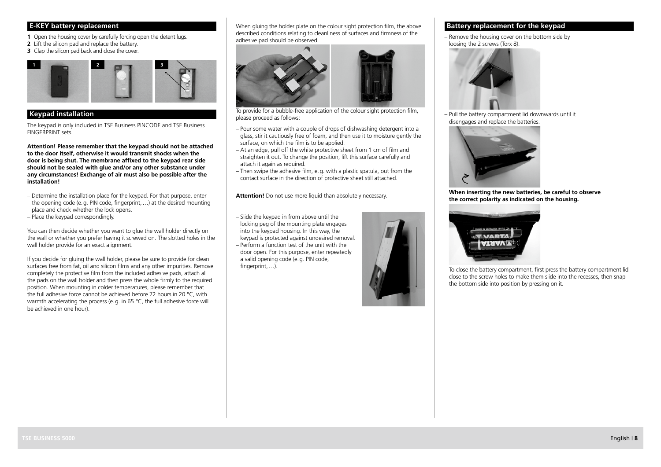# **E-KEY battery replacement**

**1** Open the housing cover by carefully forcing open the detent lugs.

- **2** Lift the silicon pad and replace the battery.
- **3** Clap the silicon pad back and close the cover.



# **Keypad installation**

The keypad is only included in TSE Business PINCODE and TSE Business FINGERPRINT sets

**Attention! Please remember that the keypad should not be attached to the door itself, otherwise it would transmit shocks when the door is being shut. The membrane affixed to the keypad rear side should not be sealed with glue and/or any other substance under any circumstances! Exchange of air must also be possible after the installation!**

- Determine the installation place for the keypad. For that purpose, enter the opening code (e.g. PIN code, fingerprint,  $\frac{1}{2}$ ) at the desired mounting place and check whether the lock opens.
- Place the keypad correspondingly.

You can then decide whether you want to glue the wall holder directly on the wall or whether you prefer having it screwed on. The slotted holes in the wall holder provide for an exact alignment.

If you decide for gluing the wall holder, please be sure to provide for clean surfaces free from fat, oil and silicon films and any other impurities. Remove completely the protective film from the included adhesive pads, attach all the pads on the wall holder and then press the whole firmly to the required position. When mounting in colder temperatures, please remember that the full adhesive force cannot be achieved before 72 hours in 20 °C, with warmth accelerating the process (e.g. in 65 °C, the full adhesive force will be achieved in one hour).

When gluing the holder plate on the colour sight protection film, the above described conditions relating to cleanliness of surfaces and firmness of the adhesive pad should be observed.



To provide for a bubble-free application of the colour sight protection film, please proceed as follows:

- Pour some water with a couple of drops of dishwashing detergent into a glass, stir it cautiously free of foam, and then use it to moisture gently the surface, on which the film is to be applied.
- $-$  At an edge, pull off the white protective sheet from 1 cm of film and straighten it out. To change the position, lift this surface carefully and attach it again as required.
- Then swipe the adhesive film, e.g. with a plastic spatula, out from the contact surface in the direction of protective sheet still attached.

**Attention!** Do not use more liquid than absolutely necessary.

- Slide the keypad in from above until the locking peg of the mounting plate engages into the keypad housing. In this way, the keypad is protected against undesired removal.
- Perform a function test of the unit with the door open. For this purpose, enter repeatedly a valid opening code (e.g. PIN code, fingerprint....).



# **Battery replacement for the keypad**

– Remove the housing cover on the bottom side by loosing the 2 screws (Torx 8).



– Pull the battery compartment lid downwards until it disengages and replace the batteries.



**When inserting the new batteries, be careful to observe the correct polarity as indicated on the housing.**



– To close the battery compartment, first press the battery compartment lid close to the screw holes to make them slide into the recesses, then snap the bottom side into position by pressing on it.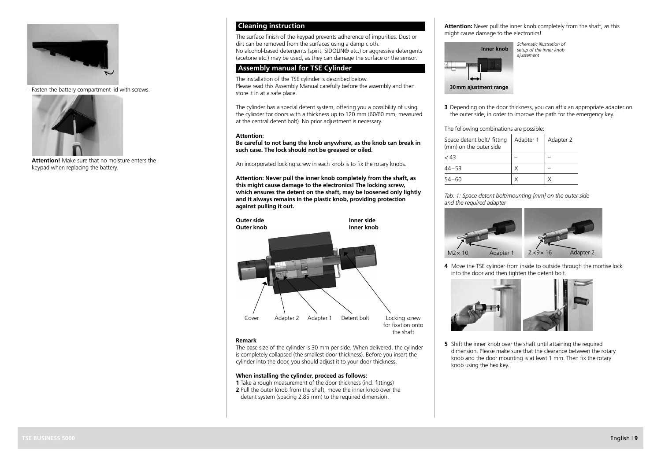

– Fasten the battery compartment lid with screws.



**Attention!** Make sure that no moisture enters the keypad when replacing the battery.

## **Cleaning instruction**

The surface finish of the keypad prevents adherence of impurities. Dust or dirt can be removed from the surfaces using a damp cloth. No alcohol-based detergents (spirit, SIDOLIN® etc.) or aggressive detergents (acetone etc.) may be used, as they can damage the surface or the sensor.

## **Assembly manual for TSE Cylinder**

The installation of the TSE cylinder is described below. Please read this Assembly Manual carefully before the assembly and then store it in at a safe place.

The cylinder has a special detent system, offering you a possibility of using the cylinder for doors with a thickness up to 120 mm (60/60 mm, measured at the central detent bolt). No prior adjustment is necessary.

#### **Attention:**

**Be careful to not bang the knob anywhere, as the knob can break in such case. The lock should not be greased or oiled.**

An incorporated locking screw in each knob is to fix the rotary knobs.

**Attention: Never pull the inner knob completely from the shaft, as this might cause damage to the electronics! The locking screw, which ensures the detent on the shaft, may be loosened only lightly and it always remains in the plastic knob, providing protection against pulling it out.**



#### **Remark**

The base size of the cylinder is 30 mm per side. When delivered, the cylinder is completely collapsed (the smallest door thickness). Before you insert the cylinder into the door, you should adjust it to your door thickness.

## **When installing the cylinder, proceed as follows:**

- **1** Take a rough measurement of the door thickness (incl. fittings) **2** Pull the outer knob from the shaft, move the inner knob over the
- detent system (spacing 2.85 mm) to the required dimension.

**Attention:** Never pull the inner knob completely from the shaft, as this might cause damage to the electronics!



**3** Depending on the door thickness, you can affix an appropriate adapter on the outer side, in order to improve the path for the emergency key.

## The following combinations are possible:

| Space detent bolt/ fitting<br>(mm) on the outer side | Adapter 1 | Adapter 2 |
|------------------------------------------------------|-----------|-----------|
| < 43                                                 |           |           |
| $44 - 53$                                            | Χ         |           |
| 54–60                                                |           |           |

*Tab. 1: Space detent bolt/mounting [mm] on the outer side and the required adapter*



**4** Move the TSE cylinder from inside to outside through the mortise lock into the door and then tighten the detent bolt.



**5** Shift the inner knob over the shaft until attaining the required dimension. Please make sure that the clearance between the rotary knob and the door mounting is at least 1 mm. Then fix the rotary knob using the hex key.